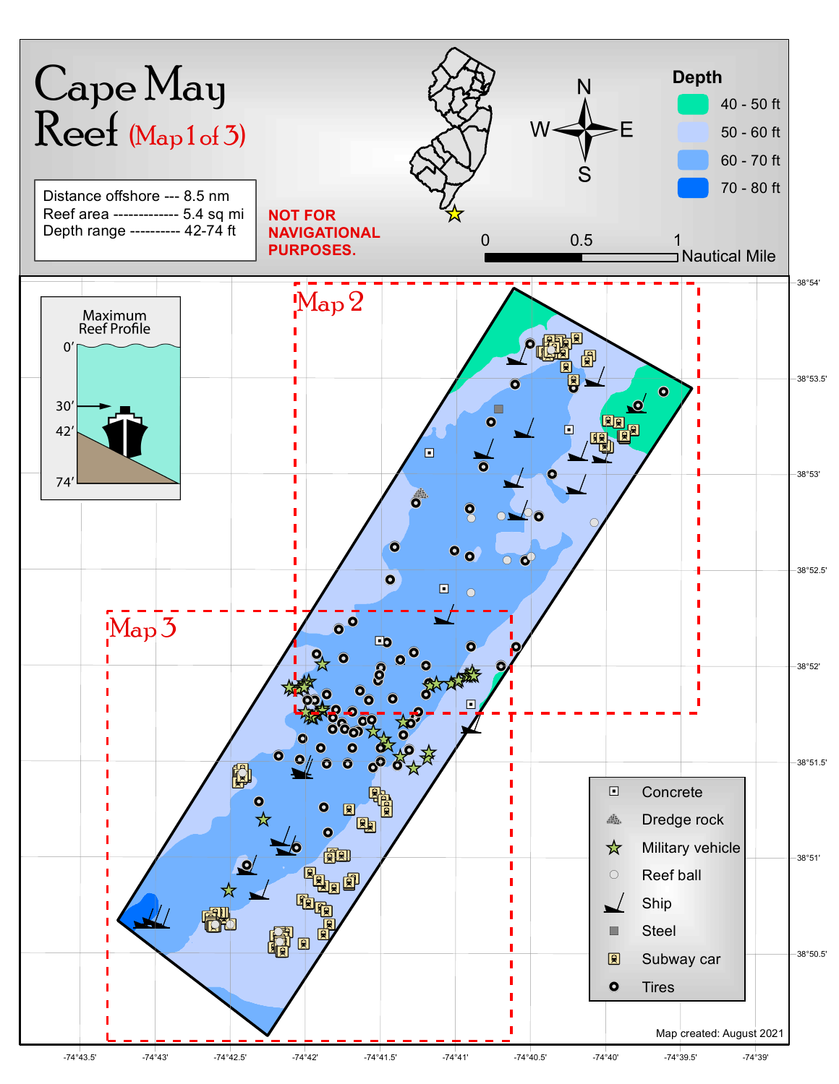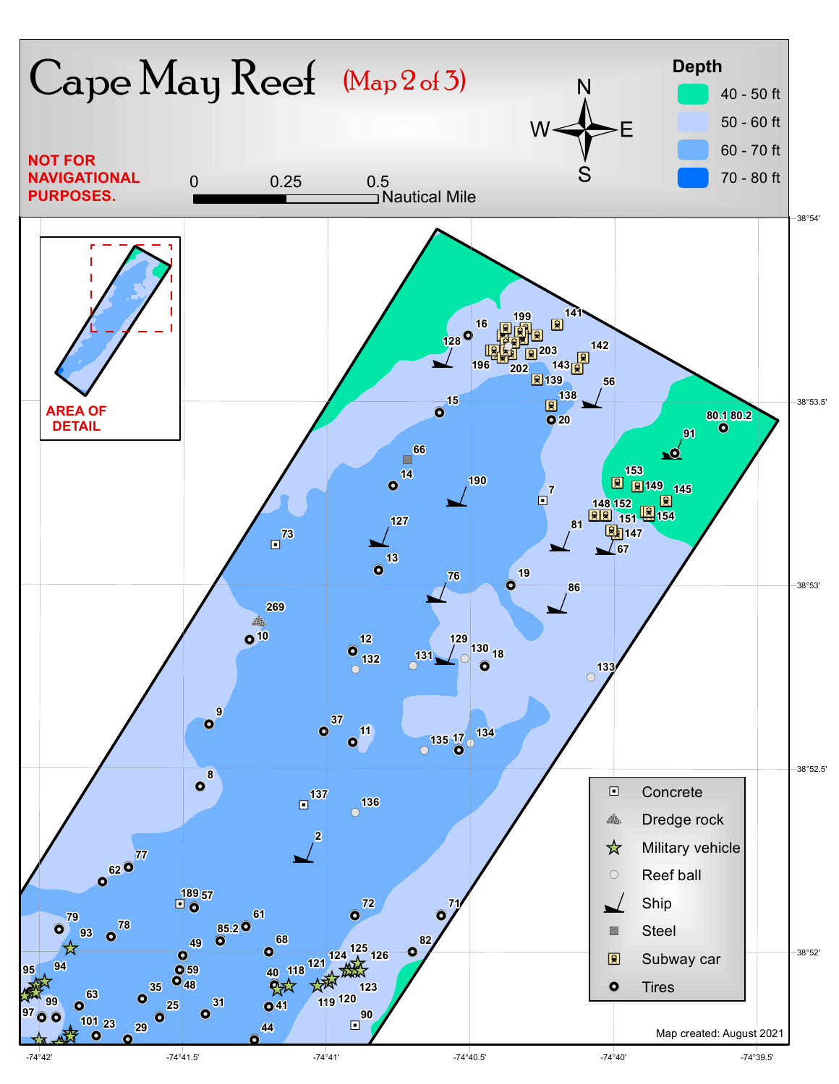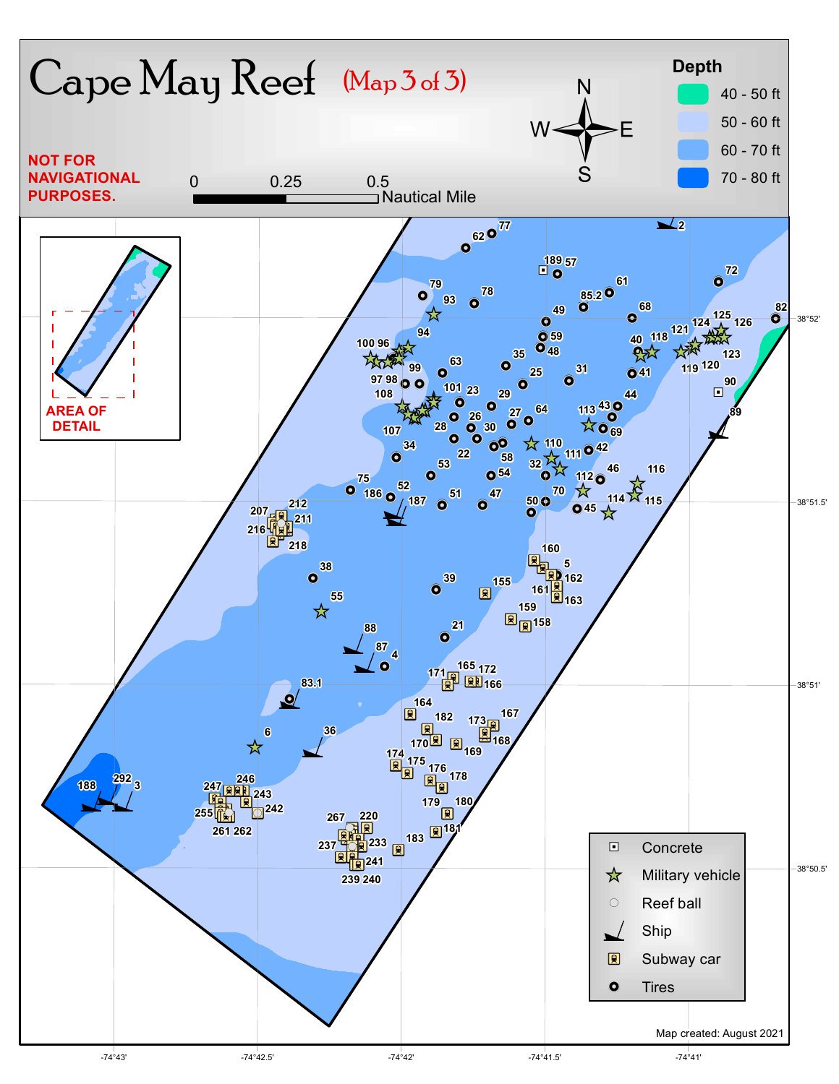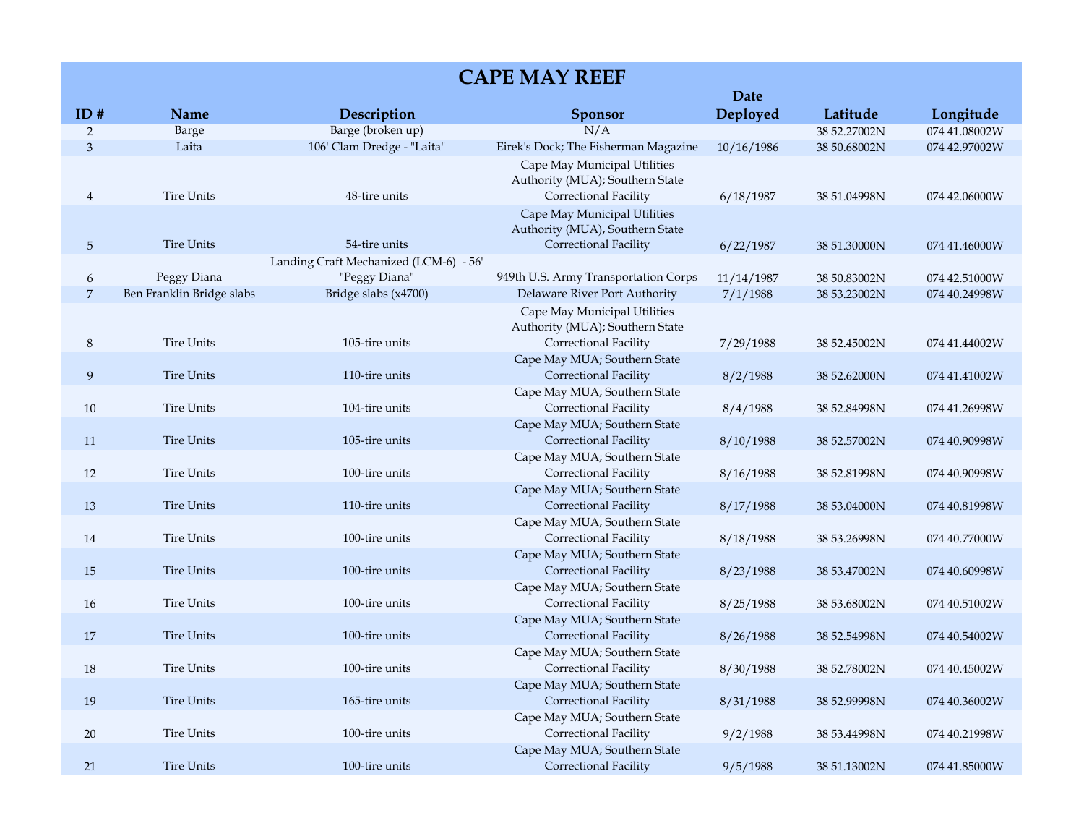|                |                           |                                                         |                                                                                          | <b>Date</b> |              |               |
|----------------|---------------------------|---------------------------------------------------------|------------------------------------------------------------------------------------------|-------------|--------------|---------------|
| ID#            | Name                      | Description                                             | <b>Sponsor</b>                                                                           | Deployed    | Latitude     | Longitude     |
| $\overline{2}$ | Barge                     | Barge (broken up)                                       | N/A                                                                                      |             | 38 52.27002N | 074 41.08002W |
| 3              | Laita                     | 106' Clam Dredge - "Laita"                              | Eirek's Dock; The Fisherman Magazine                                                     | 10/16/1986  | 38 50.68002N | 074 42.97002W |
| 4              | <b>Tire Units</b>         | 48-tire units                                           | Cape May Municipal Utilities<br>Authority (MUA); Southern State<br>Correctional Facility | 6/18/1987   | 38 51.04998N | 074 42.06000W |
| 5              | <b>Tire Units</b>         | 54-tire units                                           | Cape May Municipal Utilities<br>Authority (MUA), Southern State<br>Correctional Facility | 6/22/1987   | 38 51.30000N | 074 41.46000W |
| 6              | Peggy Diana               | Landing Craft Mechanized (LCM-6) - 56'<br>"Peggy Diana" | 949th U.S. Army Transportation Corps                                                     | 11/14/1987  | 38 50.83002N | 074 42.51000W |
| 7              | Ben Franklin Bridge slabs | Bridge slabs (x4700)                                    | Delaware River Port Authority                                                            | 7/1/1988    | 38 53.23002N | 074 40.24998W |
| 8              | <b>Tire Units</b>         | 105-tire units                                          | Cape May Municipal Utilities<br>Authority (MUA); Southern State<br>Correctional Facility | 7/29/1988   | 38 52.45002N | 074 41.44002W |
| 9              | <b>Tire Units</b>         | 110-tire units                                          | Cape May MUA; Southern State<br>Correctional Facility                                    | 8/2/1988    | 38 52.62000N | 074 41.41002W |
| 10             | Tire Units                | 104-tire units                                          | Cape May MUA; Southern State<br>Correctional Facility                                    | 8/4/1988    | 38 52.84998N | 074 41.26998W |
| 11             | <b>Tire Units</b>         | 105-tire units                                          | Cape May MUA; Southern State<br>Correctional Facility                                    | 8/10/1988   | 38 52.57002N | 074 40.90998W |
| 12             | <b>Tire Units</b>         | 100-tire units                                          | Cape May MUA; Southern State<br>Correctional Facility                                    | 8/16/1988   | 38 52.81998N | 074 40.90998W |
| 13             | <b>Tire Units</b>         | 110-tire units                                          | Cape May MUA; Southern State<br>Correctional Facility                                    | 8/17/1988   | 38 53.04000N | 074 40.81998W |
| 14             | <b>Tire Units</b>         | 100-tire units                                          | Cape May MUA; Southern State<br>Correctional Facility                                    | 8/18/1988   | 38 53.26998N | 074 40.77000W |
| 15             | <b>Tire Units</b>         | 100-tire units                                          | Cape May MUA; Southern State<br>Correctional Facility                                    | 8/23/1988   | 38 53.47002N | 074 40.60998W |
| 16             | <b>Tire Units</b>         | 100-tire units                                          | Cape May MUA; Southern State<br>Correctional Facility                                    | 8/25/1988   | 38 53.68002N | 074 40.51002W |
| 17             | <b>Tire Units</b>         | 100-tire units                                          | Cape May MUA; Southern State<br>Correctional Facility                                    | 8/26/1988   | 38 52.54998N | 074 40.54002W |
| $18\,$         | <b>Tire Units</b>         | 100-tire units                                          | Cape May MUA; Southern State<br><b>Correctional Facility</b>                             | 8/30/1988   | 38 52.78002N | 074 40.45002W |
| 19             | <b>Tire Units</b>         | 165-tire units                                          | Cape May MUA; Southern State<br>Correctional Facility                                    | 8/31/1988   | 38 52.99998N | 074 40.36002W |
| $20\,$         | <b>Tire Units</b>         | 100-tire units                                          | Cape May MUA; Southern State<br>Correctional Facility                                    | 9/2/1988    | 38 53.44998N | 074 40.21998W |
| 21             | <b>Tire Units</b>         | 100-tire units                                          | Cape May MUA; Southern State<br>Correctional Facility                                    | 9/5/1988    | 38 51.13002N | 074 41.85000W |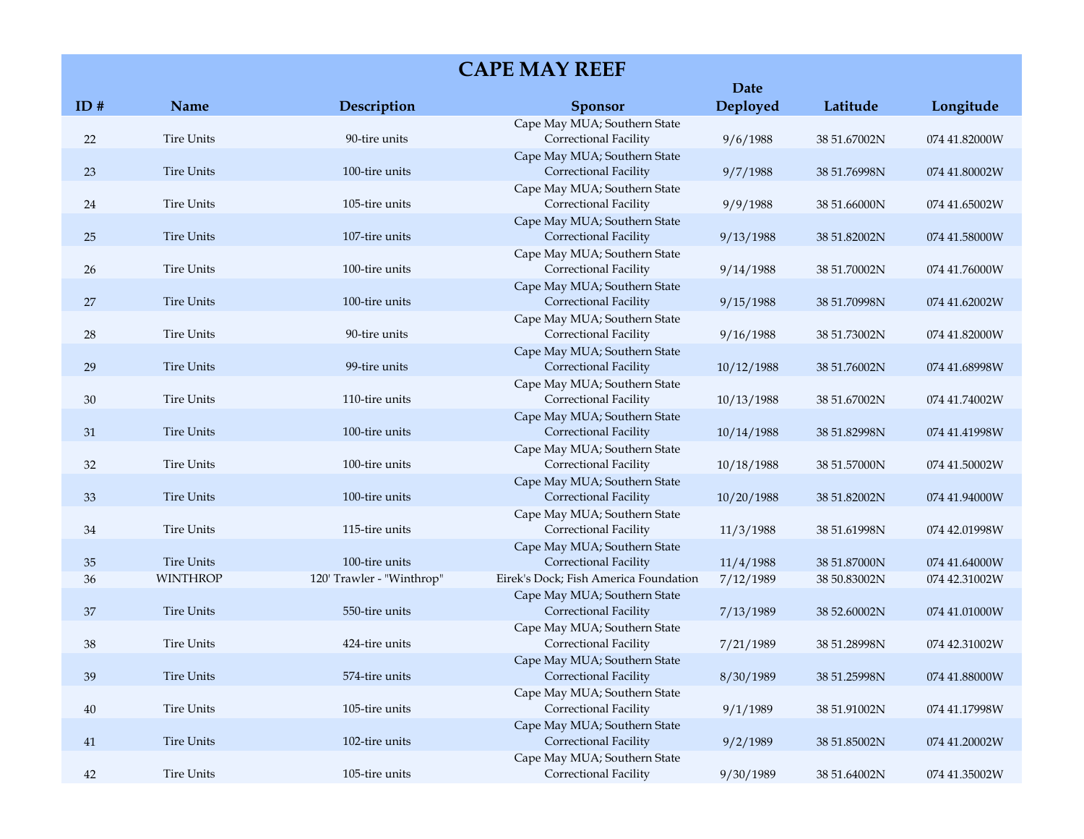|        |                   |                           | <b>CAPE MAY REEF</b>                                                  | <b>Date</b> |              |               |
|--------|-------------------|---------------------------|-----------------------------------------------------------------------|-------------|--------------|---------------|
| ID#    | Name              | Description               | <b>Sponsor</b>                                                        | Deployed    | Latitude     | Longitude     |
| 22     | <b>Tire Units</b> | 90-tire units             | Cape May MUA; Southern State<br>Correctional Facility                 | 9/6/1988    | 38 51.67002N | 074 41.82000W |
| 23     | <b>Tire Units</b> | 100-tire units            | Cape May MUA; Southern State<br>Correctional Facility                 | 9/7/1988    | 38 51.76998N | 074 41.80002W |
| 24     | <b>Tire Units</b> | 105-tire units            | Cape May MUA; Southern State<br>Correctional Facility                 | 9/9/1988    | 38 51.66000N | 074 41.65002W |
| 25     | <b>Tire Units</b> | 107-tire units            | Cape May MUA; Southern State<br>Correctional Facility                 | 9/13/1988   | 38 51.82002N | 074 41.58000W |
| 26     | <b>Tire Units</b> | 100-tire units            | Cape May MUA; Southern State<br>Correctional Facility                 | 9/14/1988   | 38 51.70002N | 074 41.76000W |
| 27     | <b>Tire Units</b> | 100-tire units            | Cape May MUA; Southern State<br>Correctional Facility                 | 9/15/1988   | 38 51.70998N | 074 41.62002W |
| 28     | <b>Tire Units</b> | 90-tire units             | Cape May MUA; Southern State<br>Correctional Facility                 | 9/16/1988   | 38 51.73002N | 074 41.82000W |
| 29     | <b>Tire Units</b> | 99-tire units             | Cape May MUA; Southern State<br>Correctional Facility                 | 10/12/1988  | 38 51.76002N | 074 41.68998W |
| $30\,$ | <b>Tire Units</b> | 110-tire units            | Cape May MUA; Southern State<br>Correctional Facility                 | 10/13/1988  | 38 51.67002N | 074 41.74002W |
| 31     | <b>Tire Units</b> | 100-tire units            | Cape May MUA; Southern State<br>Correctional Facility                 | 10/14/1988  | 38 51.82998N | 074 41.41998W |
| 32     | <b>Tire Units</b> | 100-tire units            | Cape May MUA; Southern State<br>Correctional Facility                 | 10/18/1988  | 38 51.57000N | 074 41.50002W |
| 33     | <b>Tire Units</b> | 100-tire units            | Cape May MUA; Southern State<br>Correctional Facility                 | 10/20/1988  | 38 51.82002N | 074 41.94000W |
| 34     | <b>Tire Units</b> | 115-tire units            | Cape May MUA; Southern State<br>Correctional Facility                 | 11/3/1988   | 38 51.61998N | 074 42.01998W |
| 35     | <b>Tire Units</b> | 100-tire units            | Cape May MUA; Southern State<br>Correctional Facility                 | 11/4/1988   | 38 51.87000N | 074 41.64000W |
| 36     | <b>WINTHROP</b>   | 120' Trawler - "Winthrop" | Eirek's Dock; Fish America Foundation<br>Cape May MUA; Southern State | 7/12/1989   | 38 50.83002N | 074 42.31002W |
| 37     | <b>Tire Units</b> | 550-tire units            | Correctional Facility<br>Cape May MUA; Southern State                 | 7/13/1989   | 38 52.60002N | 074 41.01000W |
| $38\,$ | <b>Tire Units</b> | 424-tire units            | Correctional Facility                                                 | 7/21/1989   | 38 51.28998N | 074 42.31002W |
| 39     | <b>Tire Units</b> | 574-tire units            | Cape May MUA; Southern State<br>Correctional Facility                 | 8/30/1989   | 38 51.25998N | 074 41.88000W |
| 40     | <b>Tire Units</b> | 105-tire units            | Cape May MUA; Southern State<br>Correctional Facility                 | 9/1/1989    | 38 51.91002N | 074 41.17998W |
| 41     | <b>Tire Units</b> | 102-tire units            | Cape May MUA; Southern State<br>Correctional Facility                 | 9/2/1989    | 38 51.85002N | 074 41.20002W |
| 42     | <b>Tire Units</b> | 105-tire units            | Cape May MUA; Southern State<br>Correctional Facility                 | 9/30/1989   | 38 51.64002N | 074 41.35002W |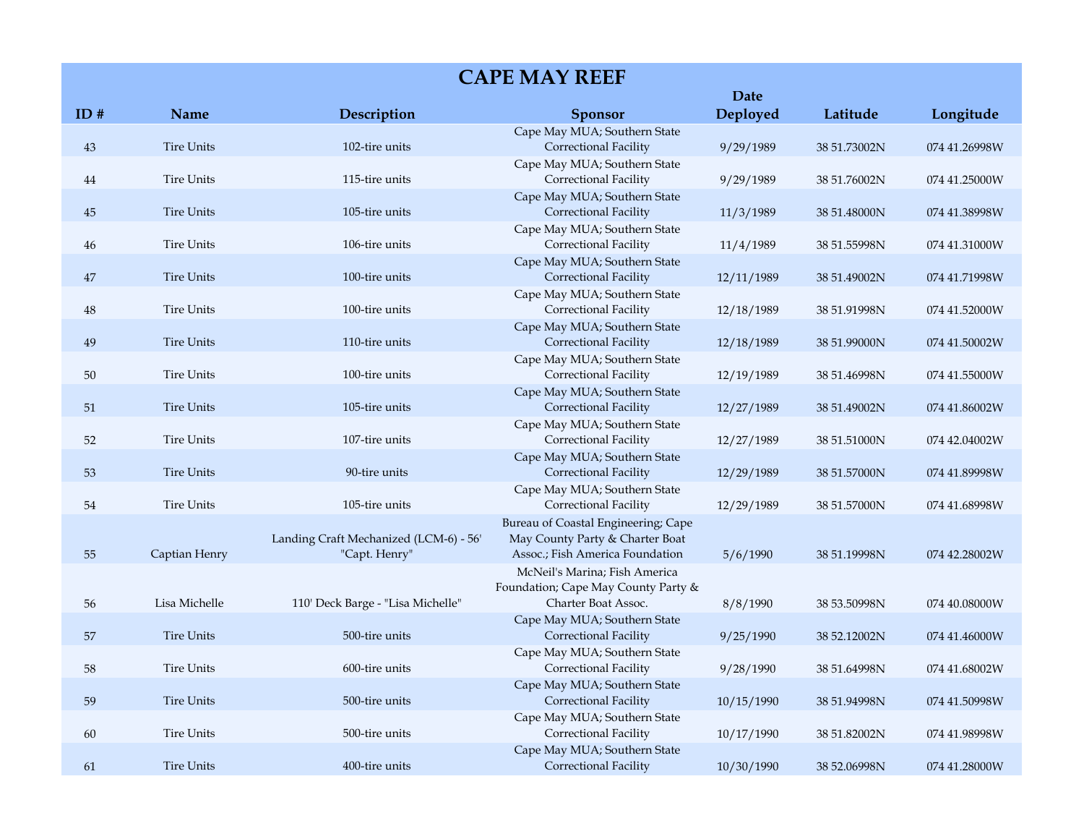| <b>CAPE MAY REEF</b> |                   |                                                         |                                                                                                           |            |              |               |
|----------------------|-------------------|---------------------------------------------------------|-----------------------------------------------------------------------------------------------------------|------------|--------------|---------------|
|                      |                   |                                                         |                                                                                                           | Date       |              |               |
| ID#                  | <b>Name</b>       | Description                                             | <b>Sponsor</b>                                                                                            | Deployed   | Latitude     | Longitude     |
| 43                   | <b>Tire Units</b> | 102-tire units                                          | Cape May MUA; Southern State<br>Correctional Facility                                                     | 9/29/1989  | 38 51.73002N | 074 41.26998W |
| 44                   | <b>Tire Units</b> | 115-tire units                                          | Cape May MUA; Southern State<br>Correctional Facility                                                     | 9/29/1989  | 38 51.76002N | 074 41.25000W |
| 45                   | <b>Tire Units</b> | 105-tire units                                          | Cape May MUA; Southern State<br><b>Correctional Facility</b>                                              | 11/3/1989  | 38 51.48000N | 074 41.38998W |
| 46                   | <b>Tire Units</b> | 106-tire units                                          | Cape May MUA; Southern State<br>Correctional Facility                                                     | 11/4/1989  | 38 51.55998N | 074 41.31000W |
| 47                   | <b>Tire Units</b> | 100-tire units                                          | Cape May MUA; Southern State<br>Correctional Facility                                                     | 12/11/1989 | 38 51.49002N | 074 41.71998W |
| 48                   | <b>Tire Units</b> | 100-tire units                                          | Cape May MUA; Southern State<br>Correctional Facility                                                     | 12/18/1989 | 38 51.91998N | 074 41.52000W |
| 49                   | <b>Tire Units</b> | 110-tire units                                          | Cape May MUA; Southern State<br>Correctional Facility                                                     | 12/18/1989 | 38 51.99000N | 074 41.50002W |
| 50                   | <b>Tire Units</b> | 100-tire units                                          | Cape May MUA; Southern State<br>Correctional Facility                                                     | 12/19/1989 | 38 51.46998N | 074 41.55000W |
| 51                   | <b>Tire Units</b> | 105-tire units                                          | Cape May MUA; Southern State<br>Correctional Facility                                                     | 12/27/1989 | 38 51.49002N | 074 41.86002W |
| 52                   | <b>Tire Units</b> | 107-tire units                                          | Cape May MUA; Southern State<br>Correctional Facility                                                     | 12/27/1989 | 38 51.51000N | 074 42.04002W |
| 53                   | <b>Tire Units</b> | 90-tire units                                           | Cape May MUA; Southern State<br>Correctional Facility                                                     | 12/29/1989 | 38 51.57000N | 074 41.89998W |
| 54                   | <b>Tire Units</b> | 105-tire units                                          | Cape May MUA; Southern State<br>Correctional Facility                                                     | 12/29/1989 | 38 51.57000N | 074 41.68998W |
| 55                   | Captian Henry     | Landing Craft Mechanized (LCM-6) - 56'<br>"Capt. Henry" | Bureau of Coastal Engineering; Cape<br>May County Party & Charter Boat<br>Assoc.; Fish America Foundation | 5/6/1990   | 38 51.19998N | 074 42.28002W |
| 56                   | Lisa Michelle     | 110' Deck Barge - "Lisa Michelle"                       | McNeil's Marina; Fish America<br>Foundation; Cape May County Party &<br>Charter Boat Assoc.               | 8/8/1990   | 38 53.50998N | 074 40.08000W |
| 57                   | <b>Tire Units</b> | 500-tire units                                          | Cape May MUA; Southern State<br>Correctional Facility                                                     | 9/25/1990  | 38 52.12002N | 074 41.46000W |
| 58                   | <b>Tire Units</b> | 600-tire units                                          | Cape May MUA; Southern State<br>Correctional Facility                                                     | 9/28/1990  | 38 51.64998N | 074 41.68002W |
| 59                   | <b>Tire Units</b> | 500-tire units                                          | Cape May MUA; Southern State<br>Correctional Facility                                                     | 10/15/1990 | 38 51.94998N | 074 41.50998W |
| 60                   | <b>Tire Units</b> | 500-tire units                                          | Cape May MUA; Southern State<br>Correctional Facility                                                     | 10/17/1990 | 38 51.82002N | 074 41.98998W |
| 61                   | <b>Tire Units</b> | 400-tire units                                          | Cape May MUA; Southern State<br>Correctional Facility                                                     | 10/30/1990 | 38 52.06998N | 074 41.28000W |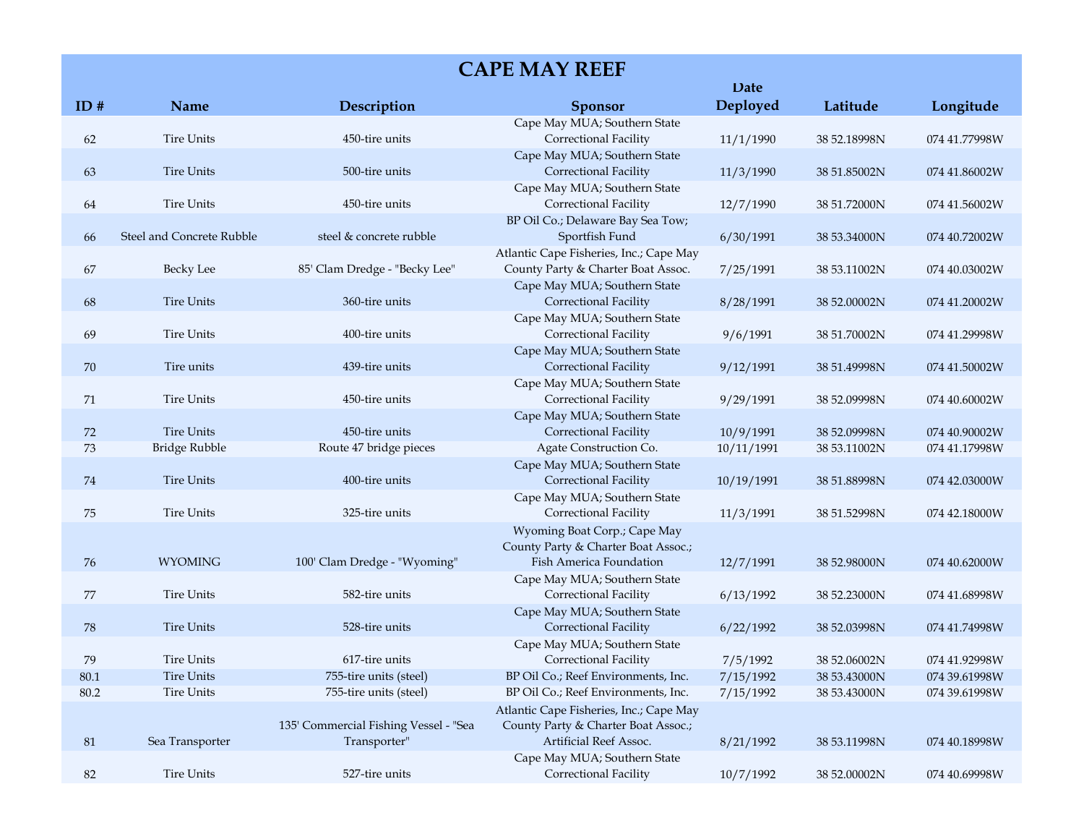| <b>CAPE MAY REEF</b> |                           |                                                       |                                                                                                          |                         |              |               |
|----------------------|---------------------------|-------------------------------------------------------|----------------------------------------------------------------------------------------------------------|-------------------------|--------------|---------------|
| ID#                  | Name                      | Description                                           | <b>Sponsor</b>                                                                                           | <b>Date</b><br>Deployed | Latitude     | Longitude     |
| 62                   | <b>Tire Units</b>         | 450-tire units                                        | Cape May MUA; Southern State<br>Correctional Facility                                                    | 11/1/1990               | 38 52.18998N | 074 41.77998W |
| 63                   | <b>Tire Units</b>         | 500-tire units                                        | Cape May MUA; Southern State<br>Correctional Facility                                                    | 11/3/1990               | 38 51.85002N | 074 41.86002W |
| 64                   | <b>Tire Units</b>         | 450-tire units                                        | Cape May MUA; Southern State<br>Correctional Facility                                                    | 12/7/1990               | 38 51.72000N | 074 41.56002W |
| 66                   | Steel and Concrete Rubble | steel & concrete rubble                               | BP Oil Co.; Delaware Bay Sea Tow;<br>Sportfish Fund                                                      | 6/30/1991               | 38 53.34000N | 074 40.72002W |
| 67                   | <b>Becky Lee</b>          | 85' Clam Dredge - "Becky Lee"                         | Atlantic Cape Fisheries, Inc.; Cape May<br>County Party & Charter Boat Assoc.                            | 7/25/1991               | 38 53.11002N | 074 40.03002W |
| 68                   | <b>Tire Units</b>         | 360-tire units                                        | Cape May MUA; Southern State<br>Correctional Facility                                                    | 8/28/1991               | 38 52.00002N | 074 41.20002W |
| 69                   | <b>Tire Units</b>         | 400-tire units                                        | Cape May MUA; Southern State<br>Correctional Facility                                                    | 9/6/1991                | 38 51.70002N | 074 41.29998W |
| 70                   | Tire units                | 439-tire units                                        | Cape May MUA; Southern State<br>Correctional Facility                                                    | 9/12/1991               | 38 51.49998N | 074 41.50002W |
| 71                   | <b>Tire Units</b>         | 450-tire units                                        | Cape May MUA; Southern State<br>Correctional Facility                                                    | 9/29/1991               | 38 52.09998N | 074 40.60002W |
| 72                   | <b>Tire Units</b>         | 450-tire units                                        | Cape May MUA; Southern State<br>Correctional Facility                                                    | 10/9/1991               | 38 52.09998N | 074 40.90002W |
| 73                   | Bridge Rubble             | Route 47 bridge pieces                                | Agate Construction Co.                                                                                   | 10/11/1991              | 38 53.11002N | 074 41.17998W |
| 74                   | <b>Tire Units</b>         | 400-tire units                                        | Cape May MUA; Southern State<br>Correctional Facility                                                    | 10/19/1991              | 38 51.88998N | 074 42.03000W |
| 75                   | <b>Tire Units</b>         | 325-tire units                                        | Cape May MUA; Southern State<br>Correctional Facility                                                    | 11/3/1991               | 38 51.52998N | 074 42.18000W |
| 76                   | <b>WYOMING</b>            | 100' Clam Dredge - "Wyoming"                          | Wyoming Boat Corp.; Cape May<br>County Party & Charter Boat Assoc.;<br>Fish America Foundation           | 12/7/1991               | 38 52.98000N | 074 40.62000W |
| 77                   | <b>Tire Units</b>         | 582-tire units                                        | Cape May MUA; Southern State<br>Correctional Facility                                                    | 6/13/1992               | 38 52.23000N | 074 41.68998W |
| 78                   | Tire Units                | 528-tire units                                        | Cape May MUA; Southern State<br><b>Correctional Facility</b>                                             | 6/22/1992               | 38 52.03998N | 074 41.74998W |
| 79                   | <b>Tire Units</b>         | 617-tire units                                        | Cape May MUA; Southern State<br>Correctional Facility                                                    | 7/5/1992                | 38 52.06002N | 074 41.92998W |
| 80.1                 | <b>Tire Units</b>         | 755-tire units (steel)                                | BP Oil Co.; Reef Environments, Inc.                                                                      | 7/15/1992               | 38 53.43000N | 074 39.61998W |
| 80.2                 | <b>Tire Units</b>         | 755-tire units (steel)                                | BP Oil Co.; Reef Environments, Inc.                                                                      | 7/15/1992               | 38 53.43000N | 074 39.61998W |
|                      |                           | 135' Commercial Fishing Vessel - "Sea<br>Transporter" | Atlantic Cape Fisheries, Inc.; Cape May<br>County Party & Charter Boat Assoc.;<br>Artificial Reef Assoc. |                         |              |               |
| 81                   | Sea Transporter           |                                                       | Cape May MUA; Southern State                                                                             | 8/21/1992               | 38 53.11998N | 074 40.18998W |
| 82                   | <b>Tire Units</b>         | 527-tire units                                        | Correctional Facility                                                                                    | 10/7/1992               | 38 52.00002N | 074 40.69998W |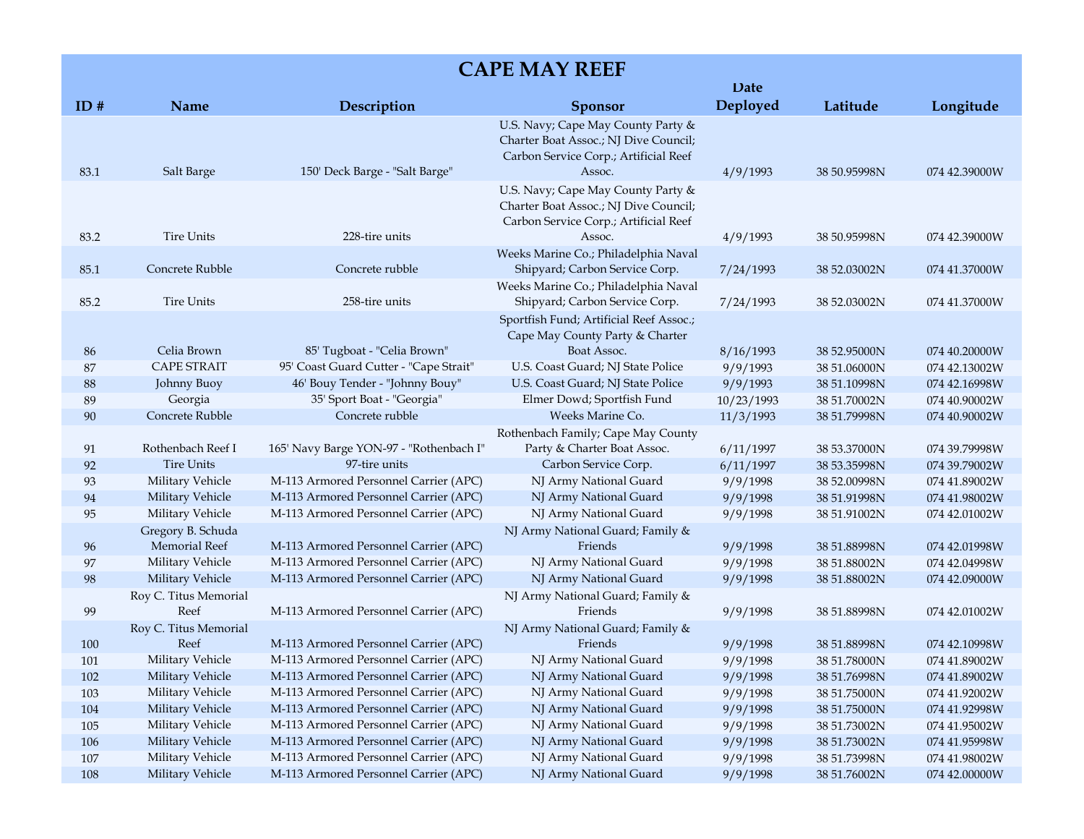|      |                       |                                         |                                                                                                                                | Date       |              |               |
|------|-----------------------|-----------------------------------------|--------------------------------------------------------------------------------------------------------------------------------|------------|--------------|---------------|
| ID#  | Name                  | Description                             | <b>Sponsor</b>                                                                                                                 | Deployed   | Latitude     | Longitude     |
| 83.1 | Salt Barge            | 150' Deck Barge - "Salt Barge"          | U.S. Navy; Cape May County Party &<br>Charter Boat Assoc.; NJ Dive Council;<br>Carbon Service Corp.; Artificial Reef<br>Assoc. | 4/9/1993   | 38 50.95998N | 074 42.39000W |
|      |                       |                                         | U.S. Navy; Cape May County Party &<br>Charter Boat Assoc.; NJ Dive Council;<br>Carbon Service Corp.; Artificial Reef           |            |              |               |
| 83.2 | <b>Tire Units</b>     | 228-tire units                          | Assoc.                                                                                                                         | 4/9/1993   | 38 50.95998N | 074 42.39000W |
| 85.1 | Concrete Rubble       | Concrete rubble                         | Weeks Marine Co.; Philadelphia Naval<br>Shipyard; Carbon Service Corp.                                                         | 7/24/1993  | 38 52.03002N | 074 41.37000W |
| 85.2 | <b>Tire Units</b>     | 258-tire units                          | Weeks Marine Co.; Philadelphia Naval<br>Shipyard; Carbon Service Corp.                                                         | 7/24/1993  | 38 52.03002N | 074 41.37000W |
|      |                       |                                         | Sportfish Fund; Artificial Reef Assoc.;<br>Cape May County Party & Charter                                                     |            |              |               |
| 86   | Celia Brown           | 85' Tugboat - "Celia Brown"             | Boat Assoc.                                                                                                                    | 8/16/1993  | 38 52.95000N | 074 40.20000W |
| 87   | <b>CAPE STRAIT</b>    | 95' Coast Guard Cutter - "Cape Strait"  | U.S. Coast Guard; NJ State Police                                                                                              | 9/9/1993   | 38 51.06000N | 074 42.13002W |
| 88   | Johnny Buoy           | 46' Bouy Tender - "Johnny Bouy"         | U.S. Coast Guard; NJ State Police                                                                                              | 9/9/1993   | 38 51.10998N | 074 42.16998W |
| 89   | Georgia               | 35' Sport Boat - "Georgia"              | Elmer Dowd; Sportfish Fund                                                                                                     | 10/23/1993 | 38 51.70002N | 074 40.90002W |
| 90   | Concrete Rubble       | Concrete rubble                         | Weeks Marine Co.                                                                                                               | 11/3/1993  | 38 51.79998N | 074 40.90002W |
|      |                       |                                         | Rothenbach Family; Cape May County                                                                                             |            |              |               |
| 91   | Rothenbach Reef I     | 165' Navy Barge YON-97 - "Rothenbach I" | Party & Charter Boat Assoc.                                                                                                    | 6/11/1997  | 38 53.37000N | 074 39.79998W |
| 92   | <b>Tire Units</b>     | 97-tire units                           | Carbon Service Corp.                                                                                                           | 6/11/1997  | 38 53.35998N | 074 39.79002W |
| 93   | Military Vehicle      | M-113 Armored Personnel Carrier (APC)   | NJ Army National Guard                                                                                                         | 9/9/1998   | 38 52.00998N | 074 41.89002W |
| 94   | Military Vehicle      | M-113 Armored Personnel Carrier (APC)   | NJ Army National Guard                                                                                                         | 9/9/1998   | 38 51.91998N | 074 41.98002W |
| 95   | Military Vehicle      | M-113 Armored Personnel Carrier (APC)   | NJ Army National Guard                                                                                                         | 9/9/1998   | 38 51.91002N | 074 42.01002W |
|      | Gregory B. Schuda     |                                         | NJ Army National Guard; Family &                                                                                               |            |              |               |
| 96   | <b>Memorial Reef</b>  | M-113 Armored Personnel Carrier (APC)   | Friends                                                                                                                        | 9/9/1998   | 38 51.88998N | 074 42.01998W |
| 97   | Military Vehicle      | M-113 Armored Personnel Carrier (APC)   | NJ Army National Guard                                                                                                         | 9/9/1998   | 38 51.88002N | 074 42.04998W |
| 98   | Military Vehicle      | M-113 Armored Personnel Carrier (APC)   | NJ Army National Guard                                                                                                         | 9/9/1998   | 38 51.88002N | 074 42.09000W |
|      | Roy C. Titus Memorial |                                         | NJ Army National Guard; Family &                                                                                               |            |              |               |
| 99   | Reef                  | M-113 Armored Personnel Carrier (APC)   | Friends                                                                                                                        | 9/9/1998   | 38 51.88998N | 074 42.01002W |
|      | Roy C. Titus Memorial |                                         | NJ Army National Guard; Family &                                                                                               |            |              |               |
| 100  | Reef                  | M-113 Armored Personnel Carrier (APC)   | Friends                                                                                                                        | 9/9/1998   | 38 51.88998N | 074 42.10998W |
| 101  | Military Vehicle      | M-113 Armored Personnel Carrier (APC)   | NJ Army National Guard                                                                                                         | 9/9/1998   | 38 51.78000N | 074 41.89002W |
| 102  | Military Vehicle      | M-113 Armored Personnel Carrier (APC)   | NJ Army National Guard                                                                                                         | 9/9/1998   | 38 51.76998N | 074 41.89002W |
| 103  | Military Vehicle      | M-113 Armored Personnel Carrier (APC)   | NJ Army National Guard                                                                                                         | 9/9/1998   | 38 51.75000N | 074 41.92002W |
| 104  | Military Vehicle      | M-113 Armored Personnel Carrier (APC)   | NJ Army National Guard                                                                                                         | 9/9/1998   | 38 51.75000N | 074 41.92998W |
| 105  | Military Vehicle      | M-113 Armored Personnel Carrier (APC)   | NJ Army National Guard                                                                                                         | 9/9/1998   | 38 51.73002N | 074 41.95002W |
| 106  | Military Vehicle      | M-113 Armored Personnel Carrier (APC)   | NJ Army National Guard                                                                                                         | 9/9/1998   | 38 51.73002N | 074 41.95998W |
| 107  | Military Vehicle      | M-113 Armored Personnel Carrier (APC)   | NJ Army National Guard                                                                                                         | 9/9/1998   | 38 51.73998N | 074 41.98002W |
| 108  | Military Vehicle      | M-113 Armored Personnel Carrier (APC)   | NJ Army National Guard                                                                                                         | 9/9/1998   | 38 51.76002N | 074 42.00000W |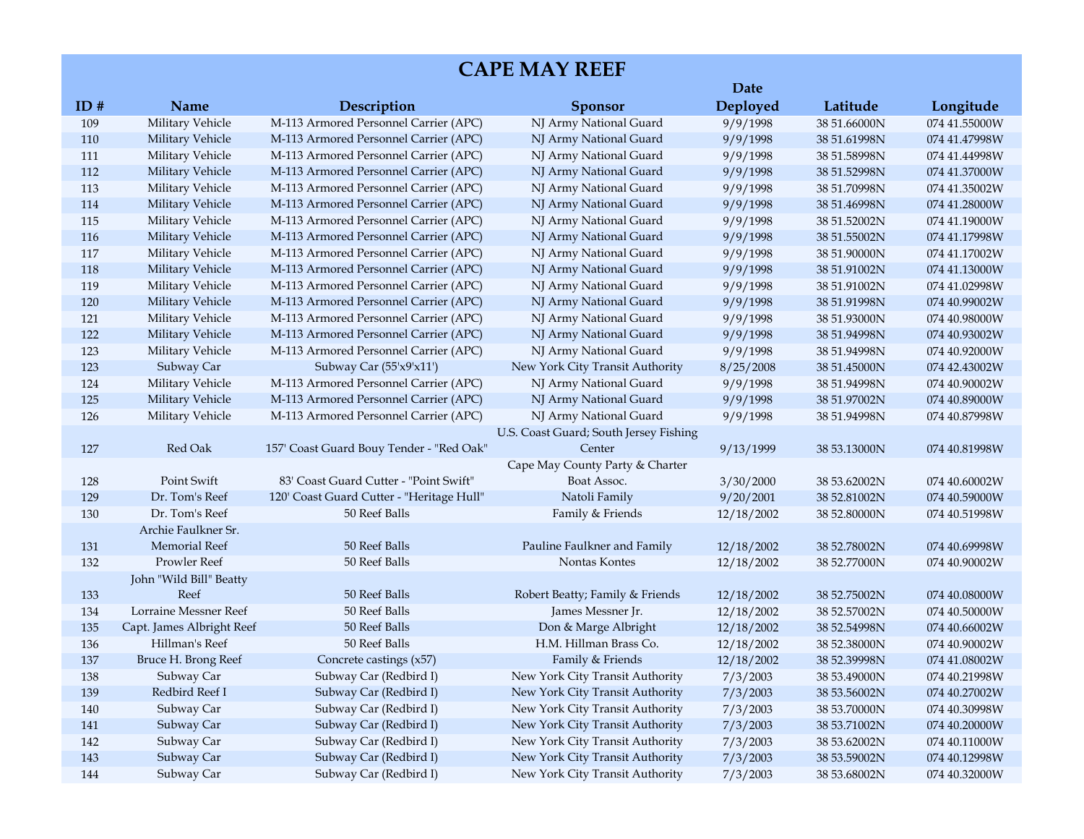|     |                           |                                           |                                        | Date       |              |               |
|-----|---------------------------|-------------------------------------------|----------------------------------------|------------|--------------|---------------|
| ID# | Name                      | Description                               | <b>Sponsor</b>                         | Deployed   | Latitude     | Longitude     |
| 109 | Military Vehicle          | M-113 Armored Personnel Carrier (APC)     | NJ Army National Guard                 | 9/9/1998   | 38 51.66000N | 074 41.55000W |
| 110 | Military Vehicle          | M-113 Armored Personnel Carrier (APC)     | NJ Army National Guard                 | 9/9/1998   | 38 51.61998N | 074 41.47998W |
| 111 | Military Vehicle          | M-113 Armored Personnel Carrier (APC)     | NJ Army National Guard                 | 9/9/1998   | 38 51.58998N | 074 41.44998W |
| 112 | Military Vehicle          | M-113 Armored Personnel Carrier (APC)     | NJ Army National Guard                 | 9/9/1998   | 38 51.52998N | 074 41.37000W |
| 113 | Military Vehicle          | M-113 Armored Personnel Carrier (APC)     | NJ Army National Guard                 | 9/9/1998   | 38 51.70998N | 074 41.35002W |
| 114 | Military Vehicle          | M-113 Armored Personnel Carrier (APC)     | NJ Army National Guard                 | 9/9/1998   | 38 51.46998N | 074 41.28000W |
| 115 | Military Vehicle          | M-113 Armored Personnel Carrier (APC)     | NJ Army National Guard                 | 9/9/1998   | 38 51.52002N | 074 41.19000W |
| 116 | Military Vehicle          | M-113 Armored Personnel Carrier (APC)     | NJ Army National Guard                 | 9/9/1998   | 38 51.55002N | 074 41.17998W |
| 117 | Military Vehicle          | M-113 Armored Personnel Carrier (APC)     | NJ Army National Guard                 | 9/9/1998   | 38 51.90000N | 074 41.17002W |
| 118 | Military Vehicle          | M-113 Armored Personnel Carrier (APC)     | NJ Army National Guard                 | 9/9/1998   | 38 51.91002N | 074 41.13000W |
| 119 | Military Vehicle          | M-113 Armored Personnel Carrier (APC)     | NJ Army National Guard                 | 9/9/1998   | 38 51.91002N | 074 41.02998W |
| 120 | Military Vehicle          | M-113 Armored Personnel Carrier (APC)     | NJ Army National Guard                 | 9/9/1998   | 38 51.91998N | 074 40.99002W |
| 121 | Military Vehicle          | M-113 Armored Personnel Carrier (APC)     | NJ Army National Guard                 | 9/9/1998   | 38 51.93000N | 074 40.98000W |
| 122 | <b>Military Vehicle</b>   | M-113 Armored Personnel Carrier (APC)     | NJ Army National Guard                 | 9/9/1998   | 38 51.94998N | 074 40.93002W |
| 123 | Military Vehicle          | M-113 Armored Personnel Carrier (APC)     | NJ Army National Guard                 | 9/9/1998   | 38 51.94998N | 074 40.92000W |
| 123 | Subway Car                | Subway Car (55'x9'x11')                   | New York City Transit Authority        | 8/25/2008  | 38 51.45000N | 074 42.43002W |
| 124 | Military Vehicle          | M-113 Armored Personnel Carrier (APC)     | NJ Army National Guard                 | 9/9/1998   | 38 51.94998N | 074 40.90002W |
| 125 | Military Vehicle          | M-113 Armored Personnel Carrier (APC)     | NJ Army National Guard                 | 9/9/1998   | 38 51.97002N | 074 40.89000W |
| 126 | Military Vehicle          | M-113 Armored Personnel Carrier (APC)     | NJ Army National Guard                 | 9/9/1998   | 38 51.94998N | 074 40.87998W |
|     |                           |                                           | U.S. Coast Guard; South Jersey Fishing |            |              |               |
| 127 | Red Oak                   | 157' Coast Guard Bouy Tender - "Red Oak"  | Center                                 | 9/13/1999  | 38 53.13000N | 074 40.81998W |
|     |                           |                                           | Cape May County Party & Charter        |            |              |               |
| 128 | Point Swift               | 83' Coast Guard Cutter - "Point Swift"    | Boat Assoc.                            | 3/30/2000  | 38 53.62002N | 074 40.60002W |
| 129 | Dr. Tom's Reef            | 120' Coast Guard Cutter - "Heritage Hull" | Natoli Family                          | 9/20/2001  | 38 52.81002N | 074 40.59000W |
| 130 | Dr. Tom's Reef            | 50 Reef Balls                             | Family & Friends                       | 12/18/2002 | 38 52.80000N | 074 40.51998W |
|     | Archie Faulkner Sr.       |                                           |                                        |            |              |               |
| 131 | <b>Memorial Reef</b>      | 50 Reef Balls                             | Pauline Faulkner and Family            | 12/18/2002 | 38 52.78002N | 074 40.69998W |
| 132 | Prowler Reef              | 50 Reef Balls                             | Nontas Kontes                          | 12/18/2002 | 38 52.77000N | 074 40.90002W |
|     | John "Wild Bill" Beatty   |                                           |                                        |            |              |               |
| 133 | Reef                      | 50 Reef Balls                             | Robert Beatty; Family & Friends        | 12/18/2002 | 38 52.75002N | 074 40.08000W |
| 134 | Lorraine Messner Reef     | 50 Reef Balls                             | James Messner Jr.                      | 12/18/2002 | 38 52.57002N | 074 40.50000W |
| 135 | Capt. James Albright Reef | 50 Reef Balls                             | Don & Marge Albright                   | 12/18/2002 | 38 52.54998N | 074 40.66002W |
| 136 | Hillman's Reef            | 50 Reef Balls                             | H.M. Hillman Brass Co.                 | 12/18/2002 | 38 52.38000N | 074 40.90002W |
| 137 | Bruce H. Brong Reef       | Concrete castings (x57)                   | Family & Friends                       | 12/18/2002 | 38 52.39998N | 074 41.08002W |
| 138 | Subway Car                | Subway Car (Redbird I)                    | New York City Transit Authority        | 7/3/2003   | 38 53.49000N | 074 40.21998W |
| 139 | Redbird Reef I            | Subway Car (Redbird I)                    | New York City Transit Authority        | 7/3/2003   | 38 53.56002N | 074 40.27002W |
| 140 | Subway Car                | Subway Car (Redbird I)                    | New York City Transit Authority        | 7/3/2003   | 38 53.70000N | 074 40.30998W |
| 141 | Subway Car                | Subway Car (Redbird I)                    | New York City Transit Authority        | 7/3/2003   | 38 53.71002N | 074 40.20000W |
| 142 | Subway Car                | Subway Car (Redbird I)                    | New York City Transit Authority        | 7/3/2003   | 38 53.62002N | 074 40.11000W |
| 143 | Subway Car                | Subway Car (Redbird I)                    | New York City Transit Authority        | 7/3/2003   | 38 53.59002N | 074 40.12998W |
| 144 | Subway Car                | Subway Car (Redbird I)                    | New York City Transit Authority        | 7/3/2003   | 38 53.68002N | 074 40.32000W |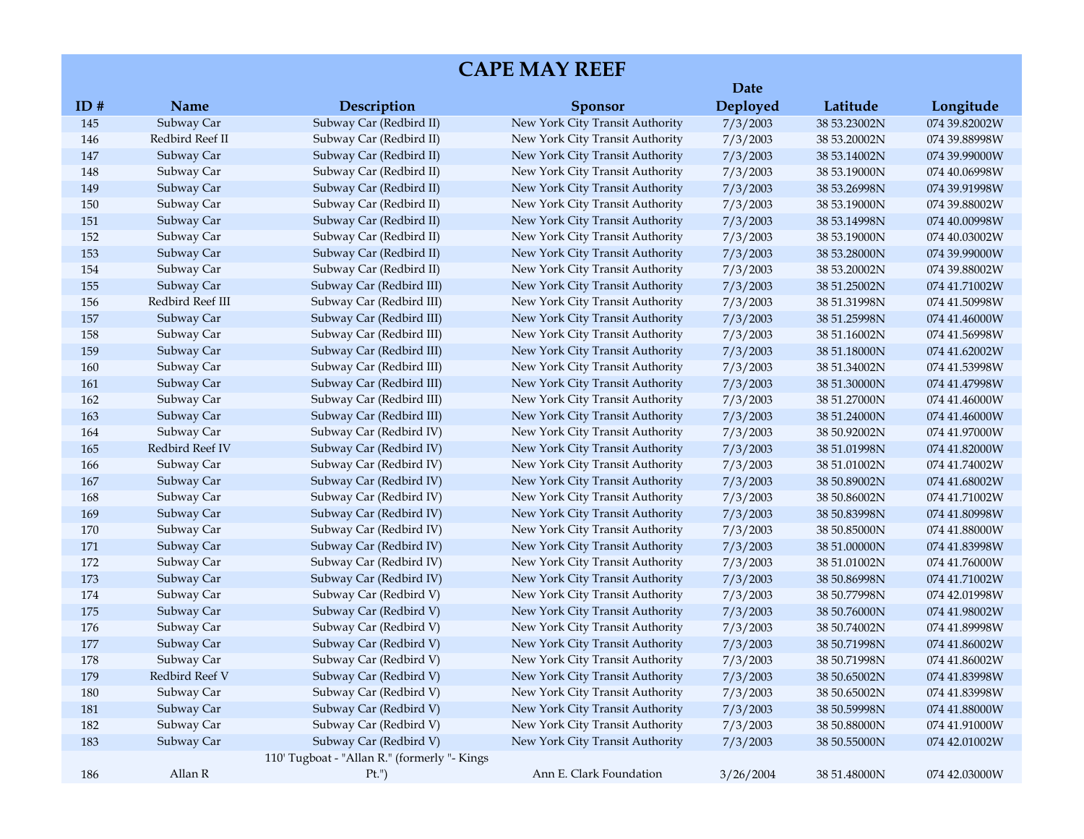|     |                  |                                              |                                 | Date      |              |               |
|-----|------------------|----------------------------------------------|---------------------------------|-----------|--------------|---------------|
| ID# | Name             | Description                                  | <b>Sponsor</b>                  | Deployed  | Latitude     | Longitude     |
| 145 | Subway Car       | Subway Car (Redbird II)                      | New York City Transit Authority | 7/3/2003  | 38 53.23002N | 074 39.82002W |
| 146 | Redbird Reef II  | Subway Car (Redbird II)                      | New York City Transit Authority | 7/3/2003  | 38 53.20002N | 074 39.88998W |
| 147 | Subway Car       | Subway Car (Redbird II)                      | New York City Transit Authority | 7/3/2003  | 38 53.14002N | 074 39.99000W |
| 148 | Subway Car       | Subway Car (Redbird II)                      | New York City Transit Authority | 7/3/2003  | 38 53.19000N | 074 40.06998W |
| 149 | Subway Car       | Subway Car (Redbird II)                      | New York City Transit Authority | 7/3/2003  | 38 53.26998N | 074 39.91998W |
| 150 | Subway Car       | Subway Car (Redbird II)                      | New York City Transit Authority | 7/3/2003  | 38 53.19000N | 074 39.88002W |
| 151 | Subway Car       | Subway Car (Redbird II)                      | New York City Transit Authority | 7/3/2003  | 38 53.14998N | 074 40.00998W |
| 152 | Subway Car       | Subway Car (Redbird II)                      | New York City Transit Authority | 7/3/2003  | 38 53.19000N | 074 40.03002W |
| 153 | Subway Car       | Subway Car (Redbird II)                      | New York City Transit Authority | 7/3/2003  | 38 53.28000N | 074 39.99000W |
| 154 | Subway Car       | Subway Car (Redbird II)                      | New York City Transit Authority | 7/3/2003  | 38 53.20002N | 074 39.88002W |
| 155 | Subway Car       | Subway Car (Redbird III)                     | New York City Transit Authority | 7/3/2003  | 38 51.25002N | 074 41.71002W |
| 156 | Redbird Reef III | Subway Car (Redbird III)                     | New York City Transit Authority | 7/3/2003  | 38 51.31998N | 074 41.50998W |
| 157 | Subway Car       | Subway Car (Redbird III)                     | New York City Transit Authority | 7/3/2003  | 38 51.25998N | 074 41.46000W |
| 158 | Subway Car       | Subway Car (Redbird III)                     | New York City Transit Authority | 7/3/2003  | 38 51.16002N | 074 41.56998W |
| 159 | Subway Car       | Subway Car (Redbird III)                     | New York City Transit Authority | 7/3/2003  | 38 51.18000N | 074 41.62002W |
| 160 | Subway Car       | Subway Car (Redbird III)                     | New York City Transit Authority | 7/3/2003  | 38 51.34002N | 074 41.53998W |
| 161 | Subway Car       | Subway Car (Redbird III)                     | New York City Transit Authority | 7/3/2003  | 38 51.30000N | 074 41.47998W |
| 162 | Subway Car       | Subway Car (Redbird III)                     | New York City Transit Authority | 7/3/2003  | 38 51.27000N | 074 41.46000W |
| 163 | Subway Car       | Subway Car (Redbird III)                     | New York City Transit Authority | 7/3/2003  | 38 51.24000N | 074 41.46000W |
| 164 | Subway Car       | Subway Car (Redbird IV)                      | New York City Transit Authority | 7/3/2003  | 38 50.92002N | 074 41.97000W |
| 165 | Redbird Reef IV  | Subway Car (Redbird IV)                      | New York City Transit Authority | 7/3/2003  | 38 51.01998N | 074 41.82000W |
| 166 | Subway Car       | Subway Car (Redbird IV)                      | New York City Transit Authority | 7/3/2003  | 38 51.01002N | 074 41.74002W |
| 167 | Subway Car       | Subway Car (Redbird IV)                      | New York City Transit Authority | 7/3/2003  | 38 50.89002N | 074 41.68002W |
| 168 | Subway Car       | Subway Car (Redbird IV)                      | New York City Transit Authority | 7/3/2003  | 38 50.86002N | 074 41.71002W |
| 169 | Subway Car       | Subway Car (Redbird IV)                      | New York City Transit Authority | 7/3/2003  | 38 50.83998N | 074 41.80998W |
| 170 | Subway Car       | Subway Car (Redbird IV)                      | New York City Transit Authority | 7/3/2003  | 38 50.85000N | 074 41.88000W |
| 171 | Subway Car       | Subway Car (Redbird IV)                      | New York City Transit Authority | 7/3/2003  | 38 51.00000N | 074 41.83998W |
| 172 | Subway Car       | Subway Car (Redbird IV)                      | New York City Transit Authority | 7/3/2003  | 38 51.01002N | 074 41.76000W |
| 173 | Subway Car       | Subway Car (Redbird IV)                      | New York City Transit Authority | 7/3/2003  | 38 50.86998N | 074 41.71002W |
| 174 | Subway Car       | Subway Car (Redbird V)                       | New York City Transit Authority | 7/3/2003  | 38 50.77998N | 074 42.01998W |
| 175 | Subway Car       | Subway Car (Redbird V)                       | New York City Transit Authority | 7/3/2003  | 38 50.76000N | 074 41.98002W |
| 176 | Subway Car       | Subway Car (Redbird V)                       | New York City Transit Authority | 7/3/2003  | 38 50.74002N | 074 41.89998W |
| 177 | Subway Car       | Subway Car (Redbird V)                       | New York City Transit Authority | 7/3/2003  | 38 50.71998N | 074 41.86002W |
| 178 | Subway Car       | Subway Car (Redbird V)                       | New York City Transit Authority | 7/3/2003  | 38 50.71998N | 074 41.86002W |
| 179 | Redbird Reef V   | Subway Car (Redbird V)                       | New York City Transit Authority | 7/3/2003  | 38 50.65002N | 074 41.83998W |
| 180 | Subway Car       | Subway Car (Redbird V)                       | New York City Transit Authority | 7/3/2003  | 38 50.65002N | 074 41.83998W |
| 181 | Subway Car       | Subway Car (Redbird V)                       | New York City Transit Authority | 7/3/2003  | 38 50.59998N | 074 41.88000W |
| 182 | Subway Car       | Subway Car (Redbird V)                       | New York City Transit Authority | 7/3/2003  | 38 50.88000N | 074 41.91000W |
| 183 | Subway Car       | Subway Car (Redbird V)                       | New York City Transit Authority | 7/3/2003  | 38 50.55000N | 074 42.01002W |
|     |                  | 110' Tugboat - "Allan R." (formerly "- Kings |                                 |           |              |               |
| 186 | Allan R          | $Pt.$ ")                                     | Ann E. Clark Foundation         | 3/26/2004 | 38 51.48000N | 074 42.03000W |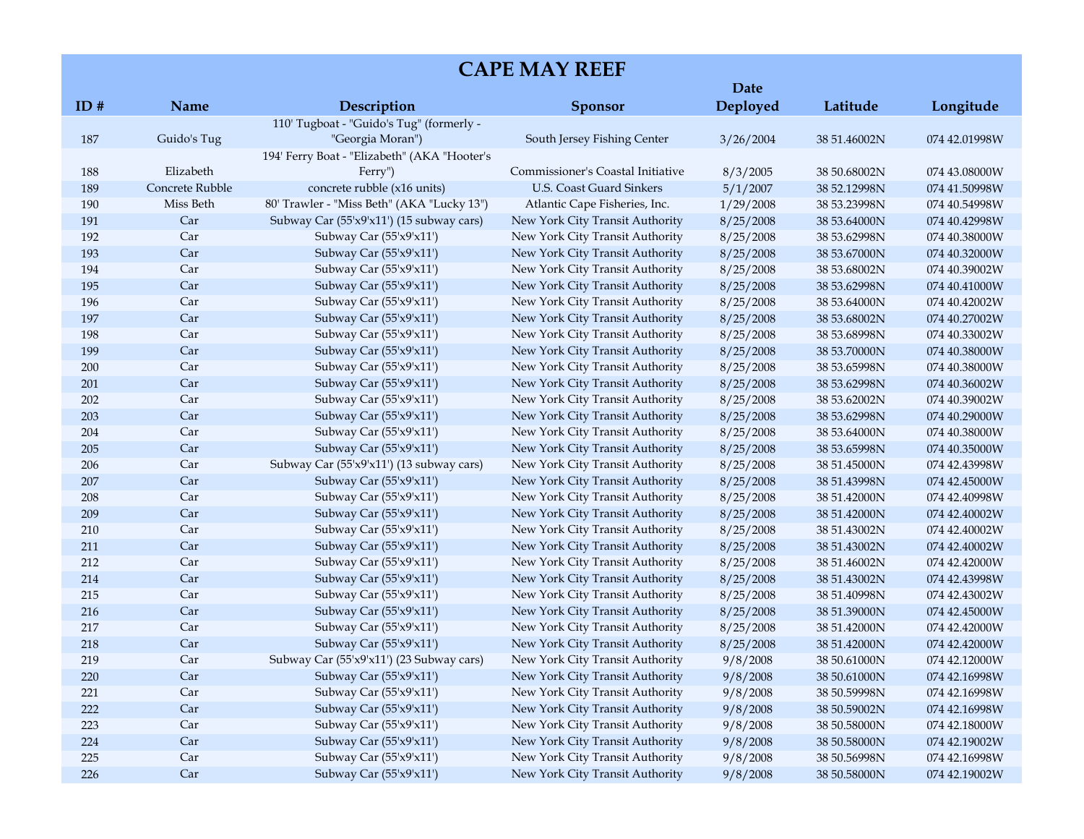|     |                 |                                              |                                   | Date      |              |               |
|-----|-----------------|----------------------------------------------|-----------------------------------|-----------|--------------|---------------|
| ID# | Name            | Description                                  | <b>Sponsor</b>                    | Deployed  | Latitude     | Longitude     |
|     |                 | 110' Tugboat - "Guido's Tug" (formerly -     |                                   |           |              |               |
| 187 | Guido's Tug     | "Georgia Moran")                             | South Jersey Fishing Center       | 3/26/2004 | 38 51.46002N | 074 42.01998W |
|     |                 | 194' Ferry Boat - "Elizabeth" (AKA "Hooter's |                                   |           |              |               |
| 188 | Elizabeth       | Ferry")                                      | Commissioner's Coastal Initiative | 8/3/2005  | 38 50.68002N | 074 43.08000W |
| 189 | Concrete Rubble | concrete rubble (x16 units)                  | U.S. Coast Guard Sinkers          | 5/1/2007  | 38 52.12998N | 074 41.50998W |
| 190 | Miss Beth       | 80' Trawler - "Miss Beth" (AKA "Lucky 13")   | Atlantic Cape Fisheries, Inc.     | 1/29/2008 | 38 53.23998N | 074 40.54998W |
| 191 | Car             | Subway Car (55'x9'x11') (15 subway cars)     | New York City Transit Authority   | 8/25/2008 | 38 53.64000N | 074 40.42998W |
| 192 | Car             | Subway Car (55'x9'x11')                      | New York City Transit Authority   | 8/25/2008 | 38 53.62998N | 074 40.38000W |
| 193 | Car             | Subway Car (55'x9'x11')                      | New York City Transit Authority   | 8/25/2008 | 38 53.67000N | 074 40.32000W |
| 194 | Car             | Subway Car (55'x9'x11')                      | New York City Transit Authority   | 8/25/2008 | 38 53.68002N | 074 40.39002W |
| 195 | Car             | Subway Car (55'x9'x11')                      | New York City Transit Authority   | 8/25/2008 | 38 53.62998N | 074 40.41000W |
| 196 | Car             | Subway Car (55'x9'x11')                      | New York City Transit Authority   | 8/25/2008 | 38 53.64000N | 074 40.42002W |
| 197 | Car             | Subway Car (55'x9'x11')                      | New York City Transit Authority   | 8/25/2008 | 38 53.68002N | 074 40.27002W |
| 198 | Car             | Subway Car (55'x9'x11')                      | New York City Transit Authority   | 8/25/2008 | 38 53.68998N | 074 40.33002W |
| 199 | Car             | Subway Car (55'x9'x11')                      | New York City Transit Authority   | 8/25/2008 | 38 53.70000N | 074 40.38000W |
| 200 | Car             | Subway Car (55'x9'x11')                      | New York City Transit Authority   | 8/25/2008 | 38 53.65998N | 074 40.38000W |
| 201 | Car             | Subway Car (55'x9'x11')                      | New York City Transit Authority   | 8/25/2008 | 38 53.62998N | 074 40.36002W |
| 202 | Car             | Subway Car (55'x9'x11')                      | New York City Transit Authority   | 8/25/2008 | 38 53.62002N | 074 40.39002W |
| 203 | Car             | Subway Car (55'x9'x11')                      | New York City Transit Authority   | 8/25/2008 | 38 53.62998N | 074 40.29000W |
| 204 | Car             | Subway Car (55'x9'x11')                      | New York City Transit Authority   | 8/25/2008 | 38 53.64000N | 074 40.38000W |
| 205 | Car             | Subway Car (55'x9'x11')                      | New York City Transit Authority   | 8/25/2008 | 38 53.65998N | 074 40.35000W |
| 206 | Car             | Subway Car (55'x9'x11') (13 subway cars)     | New York City Transit Authority   | 8/25/2008 | 38 51.45000N | 074 42.43998W |
| 207 | Car             | Subway Car (55'x9'x11')                      | New York City Transit Authority   | 8/25/2008 | 38 51.43998N | 074 42.45000W |
| 208 | Car             | Subway Car (55'x9'x11')                      | New York City Transit Authority   | 8/25/2008 | 38 51.42000N | 074 42.40998W |
| 209 | Car             | Subway Car (55'x9'x11')                      | New York City Transit Authority   | 8/25/2008 | 38 51.42000N | 074 42.40002W |
| 210 | Car             | Subway Car (55'x9'x11')                      | New York City Transit Authority   | 8/25/2008 | 38 51.43002N | 074 42.40002W |
| 211 | Car             | Subway Car (55'x9'x11')                      | New York City Transit Authority   | 8/25/2008 | 38 51.43002N | 074 42.40002W |
| 212 | Car             | Subway Car (55'x9'x11')                      | New York City Transit Authority   | 8/25/2008 | 38 51.46002N | 074 42.42000W |
| 214 | Car             | Subway Car (55'x9'x11')                      | New York City Transit Authority   | 8/25/2008 | 38 51.43002N | 074 42.43998W |
| 215 | Car             | Subway Car (55'x9'x11')                      | New York City Transit Authority   | 8/25/2008 | 38 51.40998N | 074 42.43002W |
| 216 | Car             | Subway Car (55'x9'x11')                      | New York City Transit Authority   | 8/25/2008 | 38 51.39000N | 074 42.45000W |
| 217 | Car             | Subway Car (55'x9'x11')                      | New York City Transit Authority   | 8/25/2008 | 38 51.42000N | 074 42.42000W |
| 218 | Car             | Subway Car (55'x9'x11')                      | New York City Transit Authority   | 8/25/2008 | 38 51.42000N | 074 42.42000W |
| 219 | Car             | Subway Car (55'x9'x11') (23 Subway cars)     | New York City Transit Authority   | 9/8/2008  | 38 50.61000N | 074 42.12000W |
| 220 | Car             | Subway Car (55'x9'x11')                      | New York City Transit Authority   | 9/8/2008  | 38 50.61000N | 074 42.16998W |
| 221 | Car             | Subway Car (55'x9'x11')                      | New York City Transit Authority   | 9/8/2008  | 38 50.59998N | 074 42.16998W |
| 222 | Car             | Subway Car (55'x9'x11')                      | New York City Transit Authority   | 9/8/2008  | 38 50.59002N | 074 42.16998W |
| 223 | Car             | Subway Car (55'x9'x11')                      | New York City Transit Authority   | 9/8/2008  | 38 50.58000N | 074 42.18000W |
| 224 | Car             | Subway Car (55'x9'x11')                      | New York City Transit Authority   | 9/8/2008  | 38 50.58000N | 074 42.19002W |
| 225 | Car             | Subway Car (55'x9'x11')                      | New York City Transit Authority   | 9/8/2008  | 38 50.56998N | 074 42.16998W |
| 226 | Car             | Subway Car (55'x9'x11')                      | New York City Transit Authority   | 9/8/2008  | 38 50.58000N | 074 42.19002W |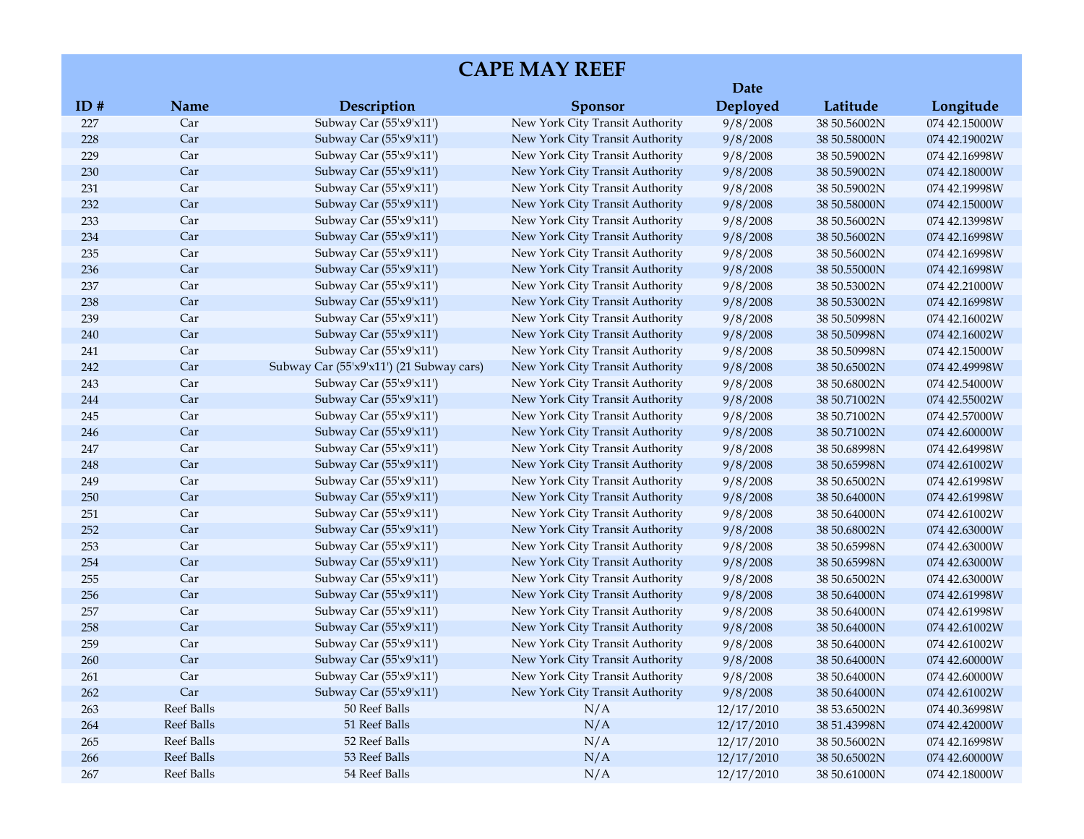|         |            |                                          |                                 | Date       |              |               |
|---------|------------|------------------------------------------|---------------------------------|------------|--------------|---------------|
| ID#     | Name       | Description                              | <b>Sponsor</b>                  | Deployed   | Latitude     | Longitude     |
| 227     | Car        | Subway Car (55'x9'x11')                  | New York City Transit Authority | 9/8/2008   | 38 50.56002N | 074 42.15000W |
| 228     | Car        | Subway Car (55'x9'x11')                  | New York City Transit Authority | 9/8/2008   | 38 50.58000N | 074 42.19002W |
| 229     | Car        | Subway Car (55'x9'x11')                  | New York City Transit Authority | 9/8/2008   | 38 50.59002N | 074 42.16998W |
| 230     | Car        | Subway Car (55'x9'x11')                  | New York City Transit Authority | 9/8/2008   | 38 50.59002N | 074 42.18000W |
| 231     | Car        | Subway Car (55'x9'x11')                  | New York City Transit Authority | 9/8/2008   | 38 50.59002N | 074 42.19998W |
| 232     | Car        | Subway Car (55'x9'x11')                  | New York City Transit Authority | 9/8/2008   | 38 50.58000N | 074 42.15000W |
| 233     | Car        | Subway Car (55'x9'x11')                  | New York City Transit Authority | 9/8/2008   | 38 50.56002N | 074 42.13998W |
| 234     | Car        | Subway Car (55'x9'x11')                  | New York City Transit Authority | 9/8/2008   | 38 50.56002N | 074 42.16998W |
| 235     | Car        | Subway Car (55'x9'x11')                  | New York City Transit Authority | 9/8/2008   | 38 50.56002N | 074 42.16998W |
| 236     | Car        | Subway Car (55'x9'x11')                  | New York City Transit Authority | 9/8/2008   | 38 50.55000N | 074 42.16998W |
| 237     | Car        | Subway Car $(55'x9'x11')$                | New York City Transit Authority | 9/8/2008   | 38 50.53002N | 074 42.21000W |
| 238     | Car        | Subway Car (55'x9'x11')                  | New York City Transit Authority | 9/8/2008   | 38 50.53002N | 074 42.16998W |
| 239     | Car        | Subway Car (55'x9'x11')                  | New York City Transit Authority | 9/8/2008   | 38 50.50998N | 074 42.16002W |
| 240     | Car        | Subway Car (55'x9'x11')                  | New York City Transit Authority | 9/8/2008   | 38 50.50998N | 074 42.16002W |
| 241     | Car        | Subway Car (55'x9'x11')                  | New York City Transit Authority | 9/8/2008   | 38 50.50998N | 074 42.15000W |
| 242     | Car        | Subway Car (55'x9'x11') (21 Subway cars) | New York City Transit Authority | 9/8/2008   | 38 50.65002N | 074 42.49998W |
| 243     | Car        | Subway Car (55'x9'x11')                  | New York City Transit Authority | 9/8/2008   | 38 50.68002N | 074 42.54000W |
| 244     | Car        | Subway Car (55'x9'x11')                  | New York City Transit Authority | 9/8/2008   | 38 50.71002N | 074 42.55002W |
| 245     | Car        | Subway Car $(55'x9'x11')$                | New York City Transit Authority | 9/8/2008   | 38 50.71002N | 074 42.57000W |
| 246     | Car        | Subway Car (55'x9'x11')                  | New York City Transit Authority | 9/8/2008   | 38 50.71002N | 074 42.60000W |
| 247     | Car        | Subway Car (55'x9'x11')                  | New York City Transit Authority | 9/8/2008   | 38 50.68998N | 074 42.64998W |
| 248     | Car        | Subway Car (55'x9'x11')                  | New York City Transit Authority | 9/8/2008   | 38 50.65998N | 074 42.61002W |
| 249     | Car        | Subway Car (55'x9'x11')                  | New York City Transit Authority | 9/8/2008   | 38 50.65002N | 074 42.61998W |
| 250     | Car        | Subway Car (55'x9'x11')                  | New York City Transit Authority | 9/8/2008   | 38 50.64000N | 074 42.61998W |
| 251     | Car        | Subway Car (55'x9'x11')                  | New York City Transit Authority | 9/8/2008   | 38 50.64000N | 074 42.61002W |
| 252     | Car        | Subway Car $(55'x9'x11')$                | New York City Transit Authority | 9/8/2008   | 38 50.68002N | 074 42.63000W |
| 253     | Car        | Subway Car (55'x9'x11')                  | New York City Transit Authority | 9/8/2008   | 38 50.65998N | 074 42.63000W |
| 254     | Car        | Subway Car (55'x9'x11')                  | New York City Transit Authority | 9/8/2008   | 38 50.65998N | 074 42.63000W |
| 255     | Car        | Subway Car $(55'x9'x11')$                | New York City Transit Authority | 9/8/2008   | 38 50.65002N | 074 42.63000W |
| 256     | Car        | Subway Car $(55'x9'x11')$                | New York City Transit Authority | 9/8/2008   | 38 50.64000N | 074 42.61998W |
| 257     | Car        | Subway Car (55'x9'x11')                  | New York City Transit Authority | 9/8/2008   | 38 50.64000N | 074 42.61998W |
| 258     | Car        | Subway Car (55'x9'x11')                  | New York City Transit Authority | 9/8/2008   | 38 50.64000N | 074 42.61002W |
| 259     | Car        | Subway Car (55'x9'x11')                  | New York City Transit Authority | 9/8/2008   | 38 50.64000N | 074 42.61002W |
| $260\,$ | Car        | Subway Car (55'x9'x11')                  | New York City Transit Authority | 9/8/2008   | 38 50.64000N | 074 42.60000W |
| 261     | Car        | Subway Car (55'x9'x11')                  | New York City Transit Authority | 9/8/2008   | 38 50.64000N | 074 42.60000W |
| 262     | Car        | Subway Car (55'x9'x11')                  | New York City Transit Authority | 9/8/2008   | 38 50.64000N | 074 42.61002W |
| 263     | Reef Balls | 50 Reef Balls                            | N/A                             | 12/17/2010 | 38 53.65002N | 074 40.36998W |
| 264     | Reef Balls | 51 Reef Balls                            | N/A                             | 12/17/2010 | 38 51.43998N | 074 42.42000W |
| 265     | Reef Balls | 52 Reef Balls                            | N/A                             | 12/17/2010 | 38 50.56002N | 074 42.16998W |
| 266     | Reef Balls | 53 Reef Balls                            | N/A                             | 12/17/2010 | 38 50.65002N | 074 42.60000W |
| $267\,$ | Reef Balls | 54 Reef Balls                            | N/A                             | 12/17/2010 | 38 50.61000N | 074 42.18000W |